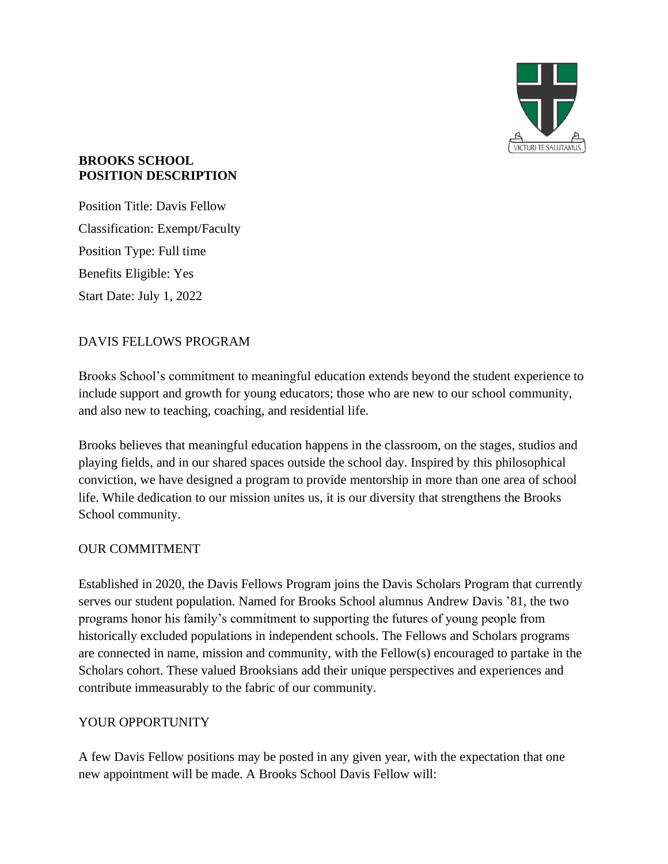

#### **BROOKS SCHOOL POSITION DESCRIPTION**

Position Title: Davis Fellow Classification: Exempt/Faculty Position Type: Full time Benefits Eligible: Yes Start Date: July 1, 2022

# DAVIS FELLOWS PROGRAM

Brooks School's commitment to meaningful education extends beyond the student experience to include support and growth for young educators; those who are new to our school community, and also new to teaching, coaching, and residential life.

Brooks believes that meaningful education happens in the classroom, on the stages, studios and playing fields, and in our shared spaces outside the school day. Inspired by this philosophical conviction, we have designed a program to provide mentorship in more than one area of school life. While dedication to our mission unites us, it is our diversity that strengthens the Brooks School community.

# OUR COMMITMENT

Established in 2020, the Davis Fellows Program joins the Davis Scholars Program that currently serves our student population. Named for Brooks School alumnus Andrew Davis '81, the two programs honor his family's commitment to supporting the futures of young people from historically excluded populations in independent schools. The Fellows and Scholars programs are connected in name, mission and community, with the Fellow(s) encouraged to partake in the Scholars cohort. These valued Brooksians add their unique perspectives and experiences and contribute immeasurably to the fabric of our community.

### YOUR OPPORTUNITY

A few Davis Fellow positions may be posted in any given year, with the expectation that one new appointment will be made. A Brooks School Davis Fellow will: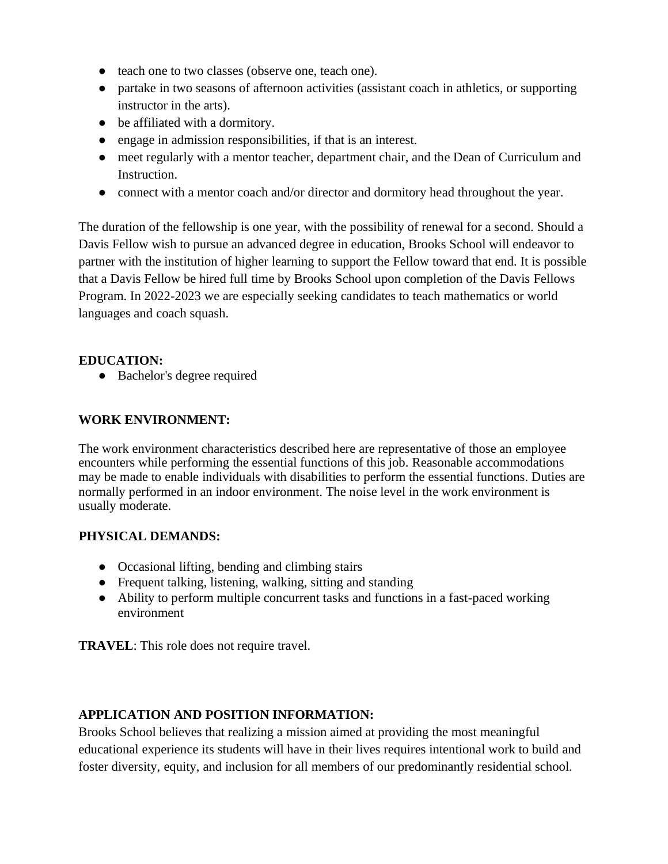- teach one to two classes (observe one, teach one).
- partake in two seasons of afternoon activities (assistant coach in athletics, or supporting instructor in the arts).
- be affiliated with a dormitory.
- engage in admission responsibilities, if that is an interest.
- meet regularly with a mentor teacher, department chair, and the Dean of Curriculum and Instruction.
- connect with a mentor coach and/or director and dormitory head throughout the year.

The duration of the fellowship is one year, with the possibility of renewal for a second. Should a Davis Fellow wish to pursue an advanced degree in education, Brooks School will endeavor to partner with the institution of higher learning to support the Fellow toward that end. It is possible that a Davis Fellow be hired full time by Brooks School upon completion of the Davis Fellows Program. In 2022-2023 we are especially seeking candidates to teach mathematics or world languages and coach squash.

## **EDUCATION:**

● Bachelor's degree required

## **WORK ENVIRONMENT:**

The work environment characteristics described here are representative of those an employee encounters while performing the essential functions of this job. Reasonable accommodations may be made to enable individuals with disabilities to perform the essential functions. Duties are normally performed in an indoor environment. The noise level in the work environment is usually moderate.

### **PHYSICAL DEMANDS:**

- Occasional lifting, bending and climbing stairs
- Frequent talking, listening, walking, sitting and standing
- Ability to perform multiple concurrent tasks and functions in a fast-paced working environment

**TRAVEL**: This role does not require travel.

# **APPLICATION AND POSITION INFORMATION:**

Brooks School believes that realizing a mission aimed at providing the most meaningful educational experience its students will have in their lives requires intentional work to build and foster diversity, equity, and inclusion for all members of our predominantly residential school.